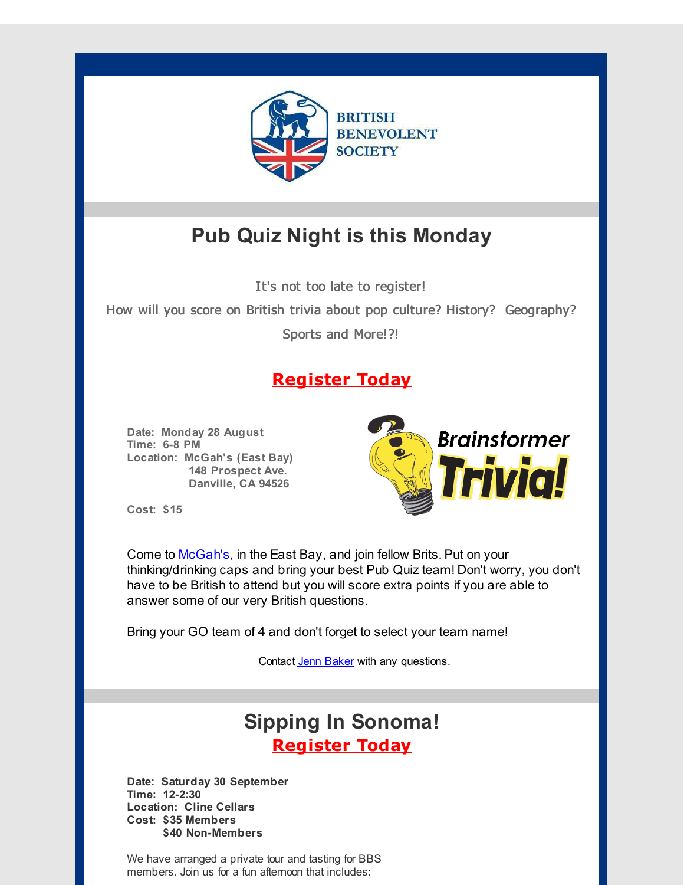

# **Pub Quiz Night is this Monday**

It's not too late to register!

How will you score on British trivia about pop culture? History? Geography?

Sports and More!?!

### **[Register](http://r20.rs6.net/tn.jsp?f=0012TQf7c9-PAqbsAXyD9PBcAMoK9aC5b9EUHsLW_2hoDWj_Hw7oZMdmqPo2_z3G-igFBOR_AX9V8h96ssM3p4Ca86gYIdpygp5-W3IcX2w4yD07vi8Ze7xFIoDTnXHttEFFPyxKd1MnCOj91btWGpzjWbz87H3lR5UYmvKKhgvw_lYOEFA8sHj4WUG6UXFVvY68EzoAmEXHjIHe0QyAcTkdBBdiLF0bLGJEafSsLs-IJSg6cpx00J_ug==&c=&ch=) Today**

**Date: Monday 28 August Time: 6-8 PM Location: McGah's (East Bay) 148 Prospect Ave. Danville, CA 94526**



**Cost: \$15**

Come to [McGah's](http://r20.rs6.net/tn.jsp?f=0012TQf7c9-PAqbsAXyD9PBcAMoK9aC5b9EUHsLW_2hoDWj_Hw7oZMdmja8VyrF8FQqFZfAG71ACs4Qpc-_AHyzW_SEqx1kk1G5jNpPCVyfWX89ddqQp2owDUFXYQ2hcyCBMQ5Xy-jT2s1JuddSpnDBlfDnoKIPh1cNcV1RW0tmU2I=&c=&ch=), in the East Bay, and join fellow Brits. Put on your thinking/drinking caps and bring your best Pub Quiz team! Don't worry, you don't have to be British to attend but you will score extra points if you are able to answer some of our very British questions.

Bring your GO team of 4 and don't forget to select your team name!

Contact Jenn [Baker](mailto:jennifer.baker@bbsofca.org) with any questions.

## **Sipping In Sonoma! [Register](http://r20.rs6.net/tn.jsp?f=0012TQf7c9-PAqbsAXyD9PBcAMoK9aC5b9EUHsLW_2hoDWj_Hw7oZMdmvpdcOnxFq41S0e6o_l4nTnCYjs8BhGIVv0v96lYQKyPinv8w00tTQ3dkPpoLRwC7c9em3Oatln04je3RA1G_msSGwt5J0utFoKuWn2QkkuHI3bIz4Lf0wt1q_fb-Iqrs4M2ZLXwPoV-zDVswOSN1qtTNWC5Er1KfMZTh9Sk7Qrb7Vyo65p3M3C1CO3VyG8ALg==&c=&ch=) Today**

**Date: Saturday 30 September Time: 12-2:30 Location: Cline Cellars Cost: \$35 Members \$40 Non-Members**

We have arranged a private tour and tasting for BBS members. Join us for a fun afternoon that includes: